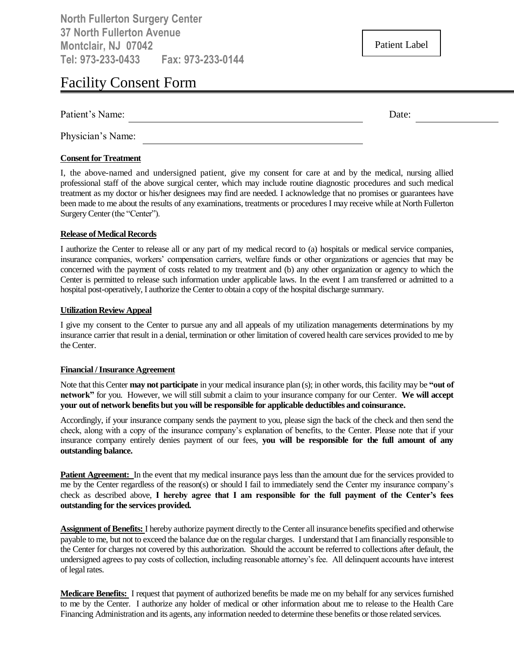**North Fullerton Surgery Center 37 North Fullerton Avenue Montclair, NJ 07042 Tel: 973-233-0433 Fax: 973-233-0144**

Patient Label

# Facility Consent Form

| Patient's<br>$\sim$ $\sim$<br>ятт⊫ | allt.<br>. |  |
|------------------------------------|------------|--|
|                                    |            |  |

Physician's Name:

#### **Consent for Treatment**

I, the above-named and undersigned patient, give my consent for care at and by the medical, nursing allied professional staff of the above surgical center, which may include routine diagnostic procedures and such medical treatment as my doctor or his/her designees may find are needed. I acknowledge that no promises or guarantees have been made to me about the results of any examinations, treatments or procedures I may receive while at North Fullerton Surgery Center (the "Center").

#### **Release of Medical Records**

I authorize the Center to release all or any part of my medical record to (a) hospitals or medical service companies, insurance companies, workers' compensation carriers, welfare funds or other organizations or agencies that may be concerned with the payment of costs related to my treatment and (b) any other organization or agency to which the Center is permitted to release such information under applicable laws. In the event I am transferred or admitted to a hospital post-operatively, I authorize the Center to obtain a copy of the hospital discharge summary.

#### **Utilization Review Appeal**

I give my consent to the Center to pursue any and all appeals of my utilization managements determinations by my insurance carrier that result in a denial, termination or other limitation of covered health care services provided to me by the Center.

#### **Financial / Insurance Agreement**

Note that this Center **may not participate** in your medical insurance plan (s); in other words, this facility may be **"out of network"** for you. However, we will still submit a claim to your insurance company for our Center. **We will accept your out of network benefits but you will be responsible for applicable deductibles and coinsurance.**

Accordingly, if your insurance company sends the payment to you, please sign the back of the check and then send the check, along with a copy of the insurance company's explanation of benefits, to the Center. Please note that if your insurance company entirely denies payment of our fees, **you will be responsible for the full amount of any outstanding balance.**

Patient Agreement: In the event that my medical insurance pays less than the amount due for the services provided to me by the Center regardless of the reason(s) or should I fail to immediately send the Center my insurance company's check as described above, **I hereby agree that I am responsible for the full payment of the Center's fees outstanding for the services provided.**

**Assignment of Benefits:** I hereby authorize payment directly to the Center all insurance benefits specified and otherwise payable to me, but not to exceed the balance due on the regular charges. I understand that I am financially responsible to the Center for charges not covered by this authorization. Should the account be referred to collections after default, the undersigned agrees to pay costs of collection, including reasonable attorney's fee. All delinquent accounts have interest of legal rates.

**Medicare Benefits:** I request that payment of authorized benefits be made me on my behalf for any services furnished to me by the Center. I authorize any holder of medical or other information about me to release to the Health Care Financing Administration and its agents, any information needed to determine these benefits or those related services.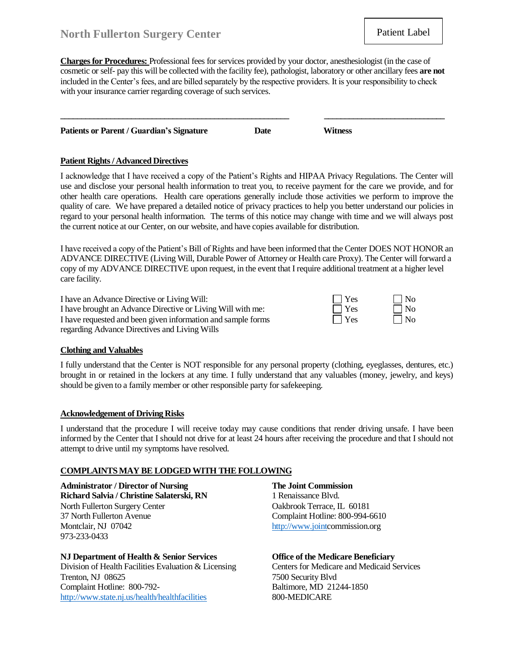## **North Fullerton Surgery Center**

**Charges for Procedures:** Professional fees for services provided by your doctor, anesthesiologist (in the case of cosmetic or self- pay this will be collected with the facility fee), pathologist, laboratory or other ancillary fees **are not** included in the Center's fees, and are billed separately by the respective providers. It is your responsibility to check with your insurance carrier regarding coverage of such services.

**\_\_\_\_\_\_\_\_\_\_\_\_\_\_\_\_\_\_\_\_\_\_\_\_\_\_\_\_\_\_\_\_\_\_\_\_\_\_\_\_\_\_\_\_\_\_\_\_\_\_\_\_\_\_\_ \_\_\_\_\_\_\_\_\_\_\_\_\_\_\_\_\_\_\_\_\_\_\_\_\_\_\_\_\_**

| <b>Patients or Parent / Guardian's Signature</b><br>Date | <b>Witness</b> |  |
|----------------------------------------------------------|----------------|--|
|----------------------------------------------------------|----------------|--|

#### **Patient Rights/ Advanced Directives**

I acknowledge that I have received a copy of the Patient's Rights and HIPAA Privacy Regulations. The Center will use and disclose your personal health information to treat you, to receive payment for the care we provide, and for other health care operations. Health care operations generally include those activities we perform to improve the quality of care. We have prepared a detailed notice of privacy practices to help you better understand our policies in regard to your personal health information. The terms of this notice may change with time and we will always post the current notice at our Center, on our website, and have copies available for distribution.

I have received a copy of the Patient's Bill of Rights and have been informed that the Center DOES NOT HONOR an ADVANCE DIRECTIVE (Living Will, Durable Power of Attorney or Health care Proxy). The Center will forward a copy of my ADVANCE DIRECTIVE upon request, in the event that I require additional treatment at a higher level care facility.

| I have an Advance Directive or Living Will:                  | $\blacksquare$ $\blacksquare$ Yes | $\vert$   No |
|--------------------------------------------------------------|-----------------------------------|--------------|
| I have brought an Advance Directive or Living Will with me:  | $\Box$ Yes                        | $\vert$   No |
| I have requested and been given information and sample forms | $\Box$ Yes                        | $\Box$ No    |
| regarding Advance Directives and Living Wills                |                                   |              |

#### **Clothing and Valuables**

I fully understand that the Center is NOT responsible for any personal property (clothing, eyeglasses, dentures, etc.) brought in or retained in the lockers at any time. I fully understand that any valuables (money, jewelry, and keys) should be given to a family member or other responsible party for safekeeping.

#### **Acknowledgement of Driving Risks**

I understand that the procedure I will receive today may cause conditions that render driving unsafe. I have been informed by the Center that I should not drive for at least 24 hours after receiving the procedure and that I should not attempt to drive until my symptoms have resolved.

#### **COMPLAINTS MAY BE LODGED WITH THE FOLLOWING**

**Administrator / Director of Nursing The Joint Commission Richard Salvia / Christine Salaterski, RN** 1 Renaissance Blvd. North Fullerton Surgery Center **CENTER COMENTED SURVEY CONTERNATION** Oakbrook Terrace, IL 60181 37 North Fullerton Avenue Complaint Hotline: 800-994-6610 Montclair, NJ 07042 [http://www.jointc](http://www.joint/)ommission.org 973-233-0433

#### **NJ Department of Health & Senior Services Office of the Medicare Beneficiary**

Division of Health Facilities Evaluation & Licensing Centers for Medicare and Medicaid Services Trenton, NJ 08625 7500 Security Blvd Complaint Hotline: 800-792- Baltimore, MD 21244-1850 <http://www.state.nj.us/health/healthfacilities> 800-MEDICARE